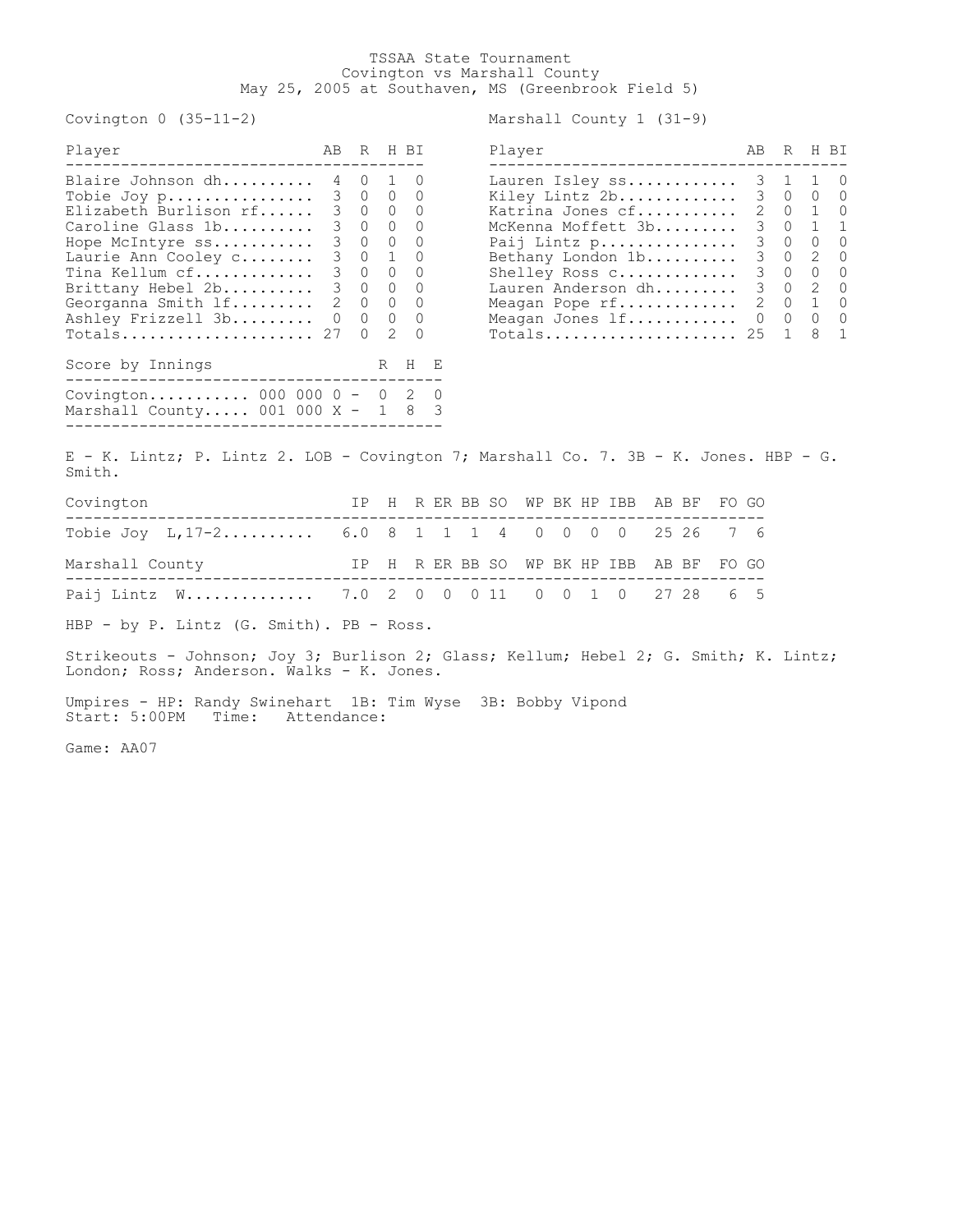## TSSAA State Tournament Covington vs Marshall County May 25, 2005 at Southaven, MS (Greenbrook Field 5)

Covington 0 (35-11-2) Marshall County 1 (31-9)

| Player                                        | AB | R H BI                                  |         | Player                  | AB          | R                 | H BI       |            |
|-----------------------------------------------|----|-----------------------------------------|---------|-------------------------|-------------|-------------------|------------|------------|
| Blaire Johnson dh 4                           |    | $\begin{matrix} 0 & 1 & 0 \end{matrix}$ |         | Lauren Isley ss 3 1 1 0 |             |                   |            |            |
| Tobie Joy p 3 0 0 0                           |    |                                         |         | Kiley Lintz 2b          |             | 3 0 0             |            | $\bigcirc$ |
| Elizabeth Burlison rf 3 0 0 0                 |    |                                         |         | Katrina Jones cf        |             |                   | 2 0 1 0    |            |
| Caroline Glass 1b 3 0 0 0                     |    |                                         |         | McKenna Moffett 3b      |             |                   | 3 0 1 1    |            |
| Hope McIntyre ss 3 0 0 0                      |    |                                         |         | Paij Lintz p            |             |                   | 3 0 0 0    |            |
| Laurie Ann Cooley c                           |    | 3 0 1 0                                 |         | Bethany London 1b       |             |                   | 3 0 2 0    |            |
| Tina Kellum cf 3 0 0 0                        |    |                                         |         | Shelley Ross C          | $3 \quad 0$ |                   | $\bigcirc$ | $\bigcirc$ |
| Brittany Hebel 2b 3 0 0 0                     |    |                                         |         | Lauren Anderson dh      |             |                   | 3 0 2 0    |            |
| Georganna Smith 1f 2 0 0 0                    |    |                                         |         | Meagan Pope rf 2 0 1 0  |             |                   |            |            |
| Ashley Frizzell 3b 0 0 0 0                    |    |                                         |         | Meagan Jones lf         |             | $0\quad 0\quad 0$ |            | $\bigcirc$ |
| Totals 27                                     |    | $0 \quad 2 \quad 0$                     |         | Totals 25 1 8 1         |             |                   |            |            |
| Score by Innings<br>_________________________ |    | R                                       | $H$ $E$ |                         |             |                   |            |            |
| Covington 000 000 0 - 0 2 0                   |    |                                         |         |                         |             |                   |            |            |
| Marshall County 001 000 X - 1 8 3             |    |                                         |         |                         |             |                   |            |            |
|                                               |    |                                         |         |                         |             |                   |            |            |

| Player             | AB | R |                             | H RT         |
|--------------------|----|---|-----------------------------|--------------|
|                    |    |   |                             |              |
| Lauren Isley ss    | 3  | 1 | $\mathbf{1}$                | O            |
| Kiley Lintz 2b     | 3  | 0 | $\mathbf{0}$                | O            |
| Katrina Jones cf   | 2  | 0 | 1                           | O            |
| McKenna Moffett 3b | 3  | 0 | $\mathbf{1}$                | $\mathbf{1}$ |
| Paij Lintz p       | 3  | 0 | 0                           | ∩            |
| Bethany London 1b  | 3  | 0 | 2                           | ∩            |
| Shelley Ross C     | 3  | 0 | 0                           | O            |
| Lauren Anderson dh | 3  | 0 | $\mathcal{D}_{\mathcal{L}}$ | 0            |
| Meagan Pope rf     | 2  | 0 | $\mathbf{1}$                | ∩            |
| Meagan Jones lf    | 0  | 0 | $\Omega$                    | U            |
| $Totals$           | 25 |   | 8                           | 1            |

E - K. Lintz; P. Lintz 2. LOB - Covington 7; Marshall Co. 7. 3B - K. Jones. HBP - G. Smith.

| Covington                                         |  |  |  |  | IP H R ER BB SO WP BK HP IBB AB BF FO GO |  |  |
|---------------------------------------------------|--|--|--|--|------------------------------------------|--|--|
| Tobie Joy L, 17-2 6.0 8 1 1 1 4 0 0 0 0 25 26 7 6 |  |  |  |  |                                          |  |  |
| Marshall County                                   |  |  |  |  | IP H R ER BB SO WP BK HP IBB AB BF FO GO |  |  |
| Paij Lintz W 7.0 2 0 0 0 11 0 0 1 0 27 28 6 5     |  |  |  |  |                                          |  |  |
|                                                   |  |  |  |  |                                          |  |  |

HBP - by P. Lintz (G. Smith). PB - Ross.

Strikeouts - Johnson; Joy 3; Burlison 2; Glass; Kellum; Hebel 2; G. Smith; K. Lintz; London; Ross; Anderson. Walks - K. Jones.

Umpires - HP: Randy Swinehart 1B: Tim Wyse 3B: Bobby Vipond Start: 5:00PM Time: Attendance:

Game: AA07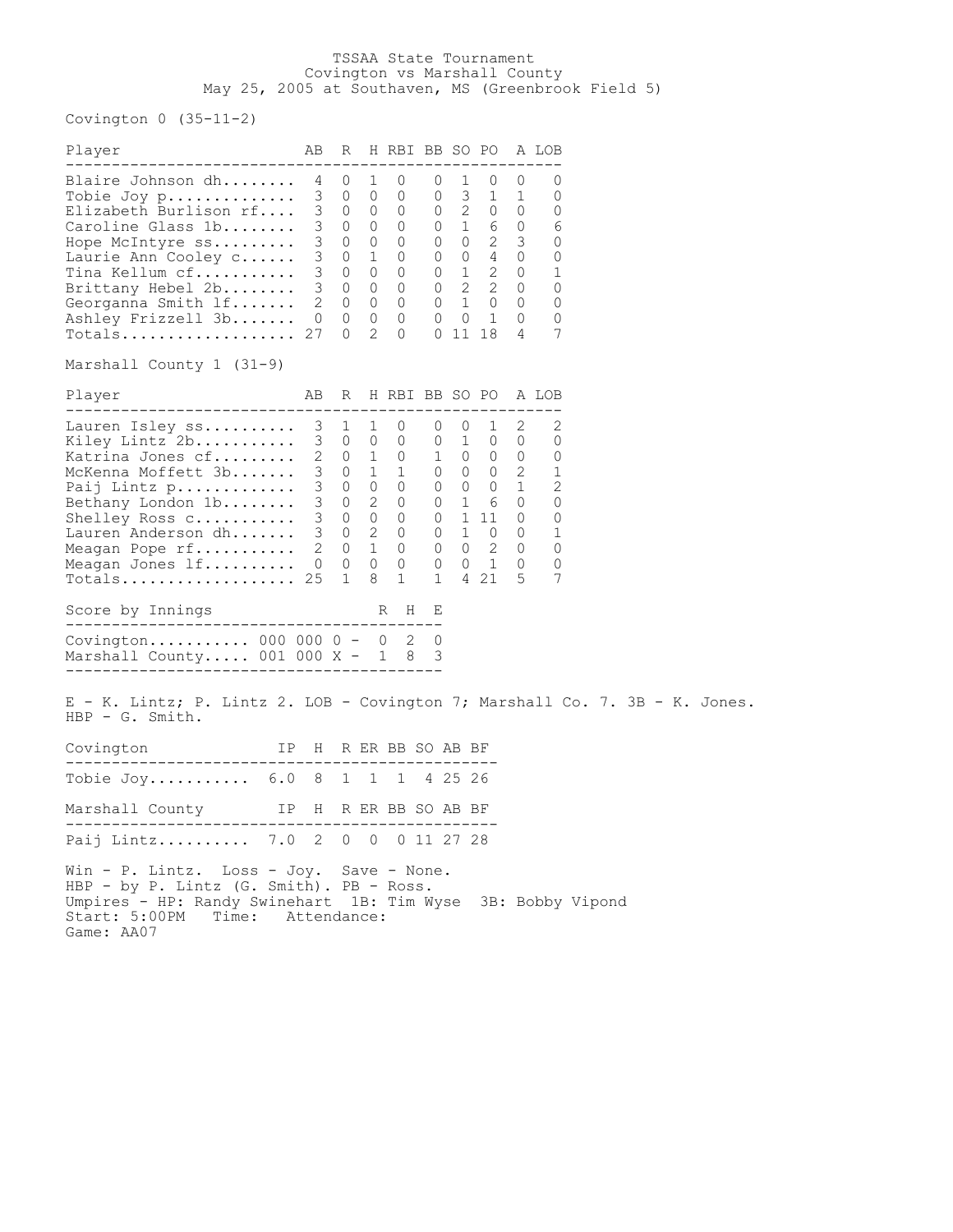## TSSAA State Tournament Covington vs Marshall County May 25, 2005 at Southaven, MS (Greenbrook Field 5)

Covington 0 (35-11-2)

| Player                                                                                                                                                                                                                                                                                                                   | AB                                                        | R                                                                                                                                                                                                                                                                          |                  |                                                                                                                                          |                                  |                                   | H RBI BB SO PO                                                                                                                                                                                                                                                  |                                                                       | A LOB                                                                           |  |  |
|--------------------------------------------------------------------------------------------------------------------------------------------------------------------------------------------------------------------------------------------------------------------------------------------------------------------------|-----------------------------------------------------------|----------------------------------------------------------------------------------------------------------------------------------------------------------------------------------------------------------------------------------------------------------------------------|------------------|------------------------------------------------------------------------------------------------------------------------------------------|----------------------------------|-----------------------------------|-----------------------------------------------------------------------------------------------------------------------------------------------------------------------------------------------------------------------------------------------------------------|-----------------------------------------------------------------------|---------------------------------------------------------------------------------|--|--|
| -------------------------<br>Blaire Johnson dh<br>Tobie Joy p<br>Elizabeth Burlison rf<br>Caroline Glass 1b<br>Hope McIntyre ss<br>Laurie Ann Cooley c<br>$\texttt{ Tina}$ Kellum $\texttt{cf} \dots \dots \dots$<br>Brittany Hebel 2b<br>Georganna Smith lf<br>Ashley Frizzell 3b<br>Totals<br>Marshall County 1 (31–9) | 4<br>3<br>3<br>3<br>$\mathsf 3$<br>3<br>3<br>2<br>0<br>27 | $\circ$<br>$0\quad 0$<br>$0\quad 0$<br>$0\quad 0$<br>$0\quad 0$<br>$\circ$<br>$0\quad 0$<br>$\begin{matrix}0&0\end{matrix}$<br>$\overline{0}$<br>$\Omega$                                                                                                                  | 1<br>1<br>0<br>2 | 0<br>$\circ$<br>$\overline{0}$<br>$\overline{0}$<br>$\overline{0}$<br>$\circ$<br>$\overline{0}$<br>$\overline{0}$<br>$\circ$<br>$\Omega$ |                                  | $0\quad 1$<br>$0\quad 0$<br>01118 | -----------<br>$\overline{0}$<br>$0 \t3 \t1$<br>$0\qquad 2\qquad 0\qquad 0$<br>$0 \t1 \t6 \t0$<br>$0 \quad 0 \quad 2 \quad 3$<br>$0 \quad 0 \quad 4 \quad 0$<br>$0 \quad 1 \quad 2 \quad 0$<br>3 0 0 0 0 2 2 0<br>$0 \quad 1 \quad 0 \quad 0$<br>$\overline{1}$ | 0<br>1<br>0<br>4                                                      | 0<br>0<br>0<br>6<br>0<br>$\circ$<br>1<br>0<br>$\circ$<br>0<br>7                 |  |  |
| Player                                                                                                                                                                                                                                                                                                                   | AB                                                        |                                                                                                                                                                                                                                                                            |                  |                                                                                                                                          |                                  |                                   |                                                                                                                                                                                                                                                                 |                                                                       | R H RBI BB SO PO A LOB                                                          |  |  |
| Lauren Isley ss<br>Kiley Lintz 2b<br>Katrina Jones cf<br>McKenna Moffett 3b<br>Paij Lintz p<br>Bethany London 1b<br>Shelley Ross C<br>Lauren Anderson dh<br>Meagan Pope rf<br>Meagan Jones lf<br>Score by Innings<br>-------------------------<br>Covington 000 000 0 - 0<br>Marshall County $001 000 X - 1 8$           | 3<br>3<br>2<br>$3 -$<br>3<br>3                            | 1<br>$\begin{matrix} 0 & 0 & 0 \end{matrix}$<br>$0$ 1 0<br>$0 \quad 1 \quad 1$<br>$\begin{matrix} 0 & 0 & 0 \end{matrix}$<br>3 0 2 0<br>$\begin{matrix} 0 & 0 & 0 \end{matrix}$<br>$3 \quad 0 \quad 2$<br>$2 \quad 0 \quad 1 \quad 0$<br>$0\quad 0\quad 0$<br>$\mathbf{1}$ | 1<br>8           | 0<br>$\overline{0}$<br>$\overline{0}$<br>$\mathbf{1}$<br>R H<br>2                                                                        | 0<br>$\mathbf{1}$<br>Е<br>0<br>3 | $\circ$<br>$0\qquad 1\qquad 0$    | 1<br>1 0 0<br>$0\quad 0\quad 0$<br>0 0 0 1<br>$0$ 1 6<br>$0$ 1 11<br>$0\qquad 1\qquad 0\qquad 0$<br>$0 \quad 0 \quad 2 \quad 0$<br>$0 \quad 0 \quad 1$<br>4 21                                                                                                  | 2<br>0<br>0<br>$2^{\circ}$<br>$\circ$<br>$\circ$<br>$\mathbf{0}$<br>5 | 2<br>0<br>0<br>1<br>2<br>0<br>$\circ$<br>$\mathbf 1$<br>$\circ$<br>$\circ$<br>7 |  |  |
| E – K. Lintz; P. Lintz 2. LOB – Covington 7; Marshall Co. 7. 3B – K. Jones.                                                                                                                                                                                                                                              |                                                           |                                                                                                                                                                                                                                                                            |                  |                                                                                                                                          |                                  |                                   |                                                                                                                                                                                                                                                                 |                                                                       |                                                                                 |  |  |
| HBP - G. Smith.                                                                                                                                                                                                                                                                                                          |                                                           |                                                                                                                                                                                                                                                                            |                  |                                                                                                                                          |                                  |                                   |                                                                                                                                                                                                                                                                 |                                                                       |                                                                                 |  |  |
| Covington                                                                                                                                                                                                                                                                                                                | IP H R ER BB SO AB BF                                     |                                                                                                                                                                                                                                                                            |                  |                                                                                                                                          |                                  |                                   |                                                                                                                                                                                                                                                                 |                                                                       |                                                                                 |  |  |
| Tobie $Joy$ $6.0$ 8                                                                                                                                                                                                                                                                                                      |                                                           | $\mathbf{1}$                                                                                                                                                                                                                                                               |                  | 1 1 4 25 26                                                                                                                              |                                  |                                   |                                                                                                                                                                                                                                                                 |                                                                       |                                                                                 |  |  |
| Marshall County                                                                                                                                                                                                                                                                                                          | IP H R ER BB SO AB BF                                     |                                                                                                                                                                                                                                                                            |                  |                                                                                                                                          |                                  |                                   |                                                                                                                                                                                                                                                                 |                                                                       |                                                                                 |  |  |
| Paij Lintz 7.0 2 0 0 0 11 27 28                                                                                                                                                                                                                                                                                          |                                                           |                                                                                                                                                                                                                                                                            |                  |                                                                                                                                          |                                  |                                   |                                                                                                                                                                                                                                                                 |                                                                       |                                                                                 |  |  |
| Win - P. Lintz. Loss - Joy. Save - None.<br>HBP - by P. Lintz (G. Smith). PB - Ross.<br>Umpires - HP: Randy Swinehart  1B: Tim Wyse  3B: Bobby Vipond<br>Start: 5:00PM<br>Time: Attendance:<br>Game: AA07                                                                                                                |                                                           |                                                                                                                                                                                                                                                                            |                  |                                                                                                                                          |                                  |                                   |                                                                                                                                                                                                                                                                 |                                                                       |                                                                                 |  |  |